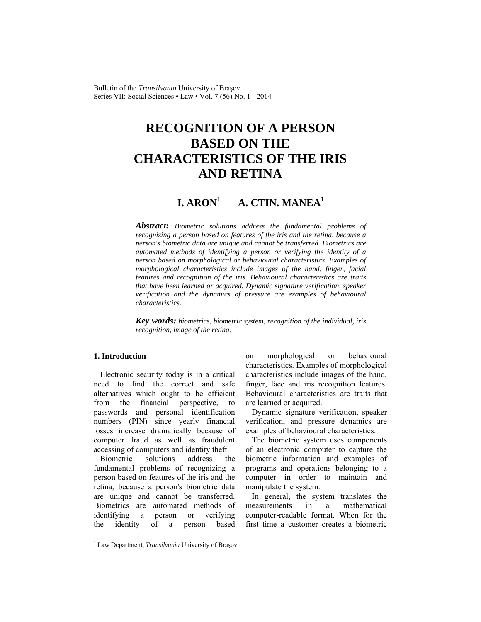Bulletin of the *Transilvania* University of Braşov Series VII: Social Sciences • Law • Vol. 7 (56) No. 1 - 2014

# **RECOGNITION OF A PERSON BASED ON THE CHARACTERISTICS OF THE IRIS AND RETINA**

#### $I. A$ **RON**<sup>1</sup>  **A. CTIN. MANEA1**

*Abstract: Biometric solutions address the fundamental problems of recognizing a person based on features of the iris and the retina, because a person's biometric data are unique and cannot be transferred. Biometrics are automated methods of identifying a person or verifying the identity of a person based on morphological or behavioural characteristics. Examples of morphological characteristics include images of the hand, finger, facial features and recognition of the iris. Behavioural characteristics are traits that have been learned or acquired. Dynamic signature verification, speaker verification and the dynamics of pressure are examples of behavioural characteristics.* 

*Key words: biometrics, biometric system, recognition of the individual, iris recognition, image of the retina.*

# **1. Introduction**

l

Electronic security today is in a critical need to find the correct and safe alternatives which ought to be efficient from the financial perspective, to passwords and personal identification numbers (PIN) since yearly financial losses increase dramatically because of computer fraud as well as fraudulent accessing of computers and identity theft.

Biometric solutions address the fundamental problems of recognizing a person based on features of the iris and the retina, because a person's biometric data are unique and cannot be transferred. Biometrics are automated methods of identifying a person or verifying the identity of a person based

on morphological or behavioural characteristics. Examples of morphological characteristics include images of the hand, finger, face and iris recognition features. Behavioural characteristics are traits that are learned or acquired.

Dynamic signature verification, speaker verification, and pressure dynamics are examples of behavioural characteristics.

The biometric system uses components of an electronic computer to capture the biometric information and examples of programs and operations belonging to a computer in order to maintain and manipulate the system.

In general, the system translates the measurements in a mathematical computer-readable format. When for the first time a customer creates a biometric

<sup>&</sup>lt;sup>1</sup> Law Department, *Transilvania* University of Braşov.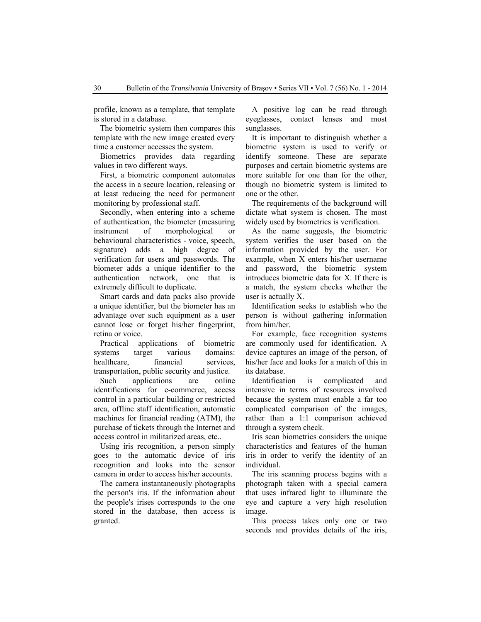profile, known as a template, that template is stored in a database.

The biometric system then compares this template with the new image created every time a customer accesses the system.

Biometrics provides data regarding values in two different ways.

First, a biometric component automates the access in a secure location, releasing or at least reducing the need for permanent monitoring by professional staff.

Secondly, when entering into a scheme of authentication, the biometer (measuring instrument of morphological or behavioural characteristics - voice, speech, signature) adds a high degree of verification for users and passwords. The biometer adds a unique identifier to the authentication network, one that is extremely difficult to duplicate.

Smart cards and data packs also provide a unique identifier, but the biometer has an advantage over such equipment as a user cannot lose or forget his/her fingerprint, retina or voice.

Practical applications of biometric systems target various domains: healthcare, financial services, transportation, public security and justice.

Such applications are online identifications for e-commerce, access control in a particular building or restricted area, offline staff identification, automatic machines for financial reading (ATM), the purchase of tickets through the Internet and access control in militarized areas, etc..

Using iris recognition, a person simply goes to the automatic device of iris recognition and looks into the sensor camera in order to access his/her accounts.

The camera instantaneously photographs the person's iris. If the information about the people's irises corresponds to the one stored in the database, then access is granted.

A positive log can be read through eyeglasses, contact lenses and most sunglasses.

It is important to distinguish whether a biometric system is used to verify or identify someone. These are separate purposes and certain biometric systems are more suitable for one than for the other, though no biometric system is limited to one or the other.

The requirements of the background will dictate what system is chosen. The most widely used by biometrics is verification.

As the name suggests, the biometric system verifies the user based on the information provided by the user. For example, when X enters his/her username and password, the biometric system introduces biometric data for X. If there is a match, the system checks whether the user is actually X.

Identification seeks to establish who the person is without gathering information from him/her.

For example, face recognition systems are commonly used for identification. A device captures an image of the person, of his/her face and looks for a match of this in its database.

Identification is complicated and intensive in terms of resources involved because the system must enable a far too complicated comparison of the images, rather than a 1:1 comparison achieved through a system check.

Iris scan biometrics considers the unique characteristics and features of the human iris in order to verify the identity of an individual.

The iris scanning process begins with a photograph taken with a special camera that uses infrared light to illuminate the eye and capture a very high resolution image.

This process takes only one or two seconds and provides details of the iris,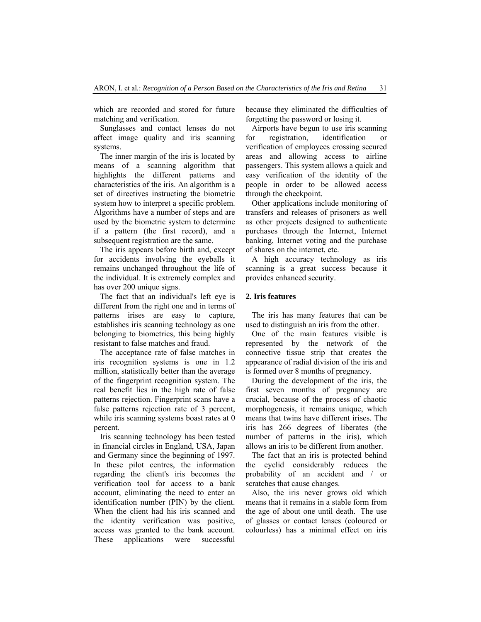which are recorded and stored for future matching and verification.

Sunglasses and contact lenses do not affect image quality and iris scanning systems.

The inner margin of the iris is located by means of a scanning algorithm that highlights the different patterns and characteristics of the iris. An algorithm is a set of directives instructing the biometric system how to interpret a specific problem. Algorithms have a number of steps and are used by the biometric system to determine if a pattern (the first record), and a subsequent registration are the same.

The iris appears before birth and, except for accidents involving the eyeballs it remains unchanged throughout the life of the individual. It is extremely complex and has over 200 unique signs.

The fact that an individual's left eye is different from the right one and in terms of patterns irises are easy to capture, establishes iris scanning technology as one belonging to biometrics, this being highly resistant to false matches and fraud.

The acceptance rate of false matches in iris recognition systems is one in 1.2 million, statistically better than the average of the fingerprint recognition system. The real benefit lies in the high rate of false patterns rejection. Fingerprint scans have a false patterns rejection rate of 3 percent, while iris scanning systems boast rates at 0 percent.

Iris scanning technology has been tested in financial circles in England, USA, Japan and Germany since the beginning of 1997. In these pilot centres, the information regarding the client's iris becomes the verification tool for access to a bank account, eliminating the need to enter an identification number (PIN) by the client. When the client had his iris scanned and the identity verification was positive, access was granted to the bank account. These applications were successful

because they eliminated the difficulties of forgetting the password or losing it.

Airports have begun to use iris scanning for registration, identification or verification of employees crossing secured areas and allowing access to airline passengers. This system allows a quick and easy verification of the identity of the people in order to be allowed access through the checkpoint.

Other applications include monitoring of transfers and releases of prisoners as well as other projects designed to authenticate purchases through the Internet, Internet banking, Internet voting and the purchase of shares on the internet, etc.

A high accuracy technology as iris scanning is a great success because it provides enhanced security.

#### **2. Iris features**

The iris has many features that can be used to distinguish an iris from the other.

One of the main features visible is represented by the network of the connective tissue strip that creates the appearance of radial division of the iris and is formed over 8 months of pregnancy.

During the development of the iris, the first seven months of pregnancy are crucial, because of the process of chaotic morphogenesis, it remains unique, which means that twins have different irises. The iris has 266 degrees of liberates (the number of patterns in the iris), which allows an iris to be different from another.

The fact that an iris is protected behind the eyelid considerably reduces the probability of an accident and / or scratches that cause changes.

Also, the iris never grows old which means that it remains in a stable form from the age of about one until death. The use of glasses or contact lenses (coloured or colourless) has a minimal effect on iris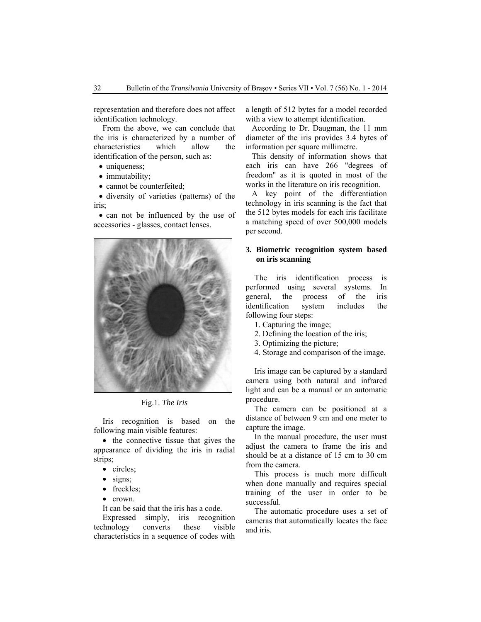representation and therefore does not affect identification technology.

From the above, we can conclude that the iris is characterized by a number of characteristics which allow the identification of the person, such as:

- uniqueness;
- immutability;
- cannot be counterfeited;

• diversity of varieties (patterns) of the iris;

• can not be influenced by the use of accessories - glasses, contact lenses.



Fig.1. *The Iris* 

Iris recognition is based on the following main visible features:

• the connective tissue that gives the appearance of dividing the iris in radial strips;

- circles;
- signs;
- freckles;
- crown.

It can be said that the iris has a code.

Expressed simply, iris recognition technology converts these visible characteristics in a sequence of codes with a length of 512 bytes for a model recorded with a view to attempt identification.

According to Dr. Daugman, the 11 mm diameter of the iris provides 3.4 bytes of information per square millimetre.

This density of information shows that each iris can have 266 "degrees of freedom" as it is quoted in most of the works in the literature on iris recognition.

A key point of the differentiation technology in iris scanning is the fact that the 512 bytes models for each iris facilitate a matching speed of over 500,000 models per second.

# **3. Biometric recognition system based on iris scanning**

The iris identification process is performed using several systems. In general, the process of the iris identification system includes the following four steps:

- 1. Capturing the image;
- 2. Defining the location of the iris;
- 3. Optimizing the picture;
- 4. Storage and comparison of the image.

Iris image can be captured by a standard camera using both natural and infrared light and can be a manual or an automatic procedure.

The camera can be positioned at a distance of between 9 cm and one meter to capture the image.

In the manual procedure, the user must adjust the camera to frame the iris and should be at a distance of 15 cm to 30 cm from the camera.

This process is much more difficult when done manually and requires special training of the user in order to be successful.

The automatic procedure uses a set of cameras that automatically locates the face and iris.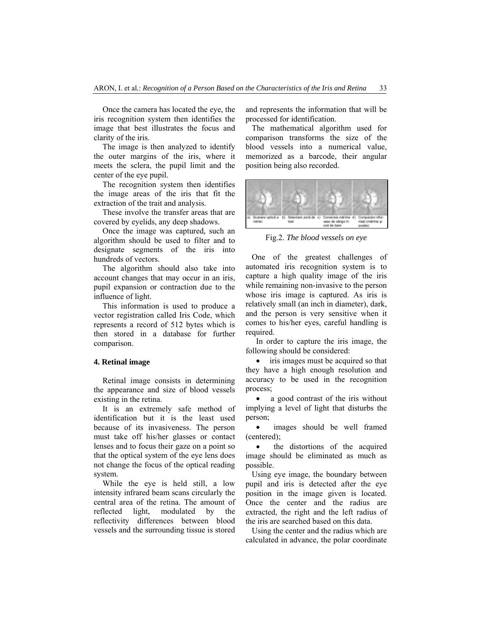Once the camera has located the eye, the iris recognition system then identifies the image that best illustrates the focus and clarity of the iris.

The image is then analyzed to identify the outer margins of the iris, where it meets the sclera, the pupil limit and the center of the eye pupil.

The recognition system then identifies the image areas of the iris that fit the extraction of the trait and analysis.

These involve the transfer areas that are covered by eyelids, any deep shadows.

Once the image was captured, such an algorithm should be used to filter and to designate segments of the iris into hundreds of vectors.

The algorithm should also take into account changes that may occur in an iris, pupil expansion or contraction due to the influence of light.

This information is used to produce a vector registration called Iris Code, which represents a record of 512 bytes which is then stored in a database for further comparison.

#### **4. Retinal image**

Retinal image consists in determining the appearance and size of blood vessels existing in the retina.

It is an extremely safe method of identification but it is the least used because of its invasiveness. The person must take off his/her glasses or contact lenses and to focus their gaze on a point so that the optical system of the eye lens does not change the focus of the optical reading system.

While the eye is held still, a low intensity infrared beam scans circularly the central area of the retina. The amount of reflected light, modulated by the reflectivity differences between blood vessels and the surrounding tissue is stored and represents the information that will be processed for identification.

The mathematical algorithm used for comparison transforms the size of the blood vessels into a numerical value, memorized as a barcode, their angular position being also recorded.



Fig.2. *The blood vessels on eye*

One of the greatest challenges of automated iris recognition system is to capture a high quality image of the iris while remaining non-invasive to the person whose iris image is captured. As iris is relatively small (an inch in diameter), dark, and the person is very sensitive when it comes to his/her eyes, careful handling is required.

In order to capture the iris image, the following should be considered:

• iris images must be acquired so that they have a high enough resolution and accuracy to be used in the recognition process;

• a good contrast of the iris without implying a level of light that disturbs the person;

• images should be well framed (centered);

• the distortions of the acquired image should be eliminated as much as possible.

Using eye image, the boundary between pupil and iris is detected after the eye position in the image given is located. Once the center and the radius are extracted, the right and the left radius of the iris are searched based on this data.

Using the center and the radius which are calculated in advance, the polar coordinate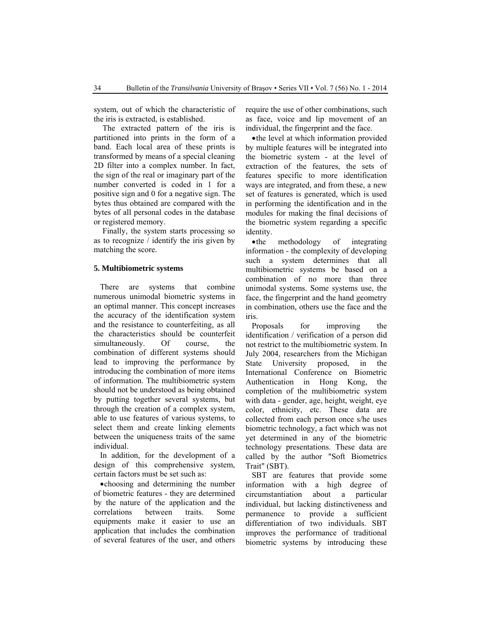system, out of which the characteristic of the iris is extracted, is established.

The extracted pattern of the iris is partitioned into prints in the form of a band. Each local area of these prints is transformed by means of a special cleaning 2D filter into a complex number. In fact, the sign of the real or imaginary part of the number converted is coded in 1 for a positive sign and 0 for a negative sign. The bytes thus obtained are compared with the bytes of all personal codes in the database or registered memory.

Finally, the system starts processing so as to recognize / identify the iris given by matching the score.

# **5. Multibiometric systems**

There are systems that combine numerous unimodal biometric systems in an optimal manner. This concept increases the accuracy of the identification system and the resistance to counterfeiting, as all the characteristics should be counterfeit simultaneously. Of course, the combination of different systems should lead to improving the performance by introducing the combination of more items of information. The multibiometric system should not be understood as being obtained by putting together several systems, but through the creation of a complex system, able to use features of various systems, to select them and create linking elements between the uniqueness traits of the same individual.

In addition, for the development of a design of this comprehensive system, certain factors must be set such as:

•choosing and determining the number of biometric features - they are determined by the nature of the application and the correlations between traits. Some equipments make it easier to use an application that includes the combination of several features of the user, and others require the use of other combinations, such as face, voice and lip movement of an individual, the fingerprint and the face.

•the level at which information provided by multiple features will be integrated into the biometric system - at the level of extraction of the features, the sets of features specific to more identification ways are integrated, and from these, a new set of features is generated, which is used in performing the identification and in the modules for making the final decisions of the biometric system regarding a specific identity.

•the methodology of integrating information - the complexity of developing such a system determines that all multibiometric systems be based on a combination of no more than three unimodal systems. Some systems use, the face, the fingerprint and the hand geometry in combination, others use the face and the iris.

Proposals for improving the identification / verification of a person did not restrict to the multibiometric system. In July 2004, researchers from the Michigan State University proposed, in the International Conference on Biometric Authentication in Hong Kong, the completion of the multibiometric system with data - gender, age, height, weight, eye color, ethnicity, etc. These data are collected from each person once s/he uses biometric technology, a fact which was not yet determined in any of the biometric technology presentations. These data are called by the author "Soft Biometrics Trait" (SBT).

SBT are features that provide some information with a high degree of circumstantiation about a particular individual, but lacking distinctiveness and permanence to provide a sufficient differentiation of two individuals. SBT improves the performance of traditional biometric systems by introducing these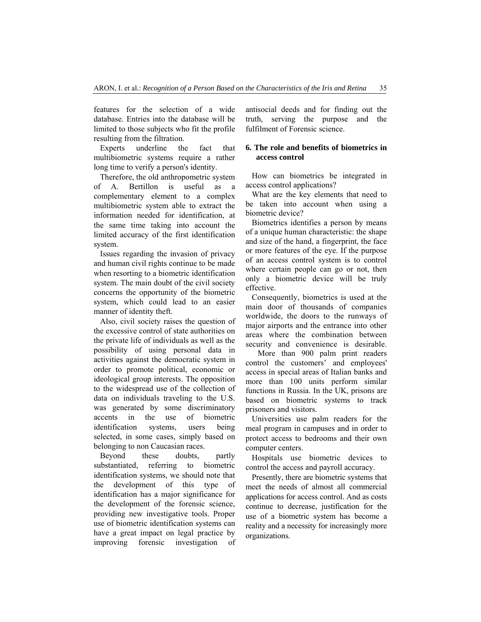features for the selection of a wide database. Entries into the database will be limited to those subjects who fit the profile resulting from the filtration.

Experts underline the fact that multibiometric systems require a rather long time to verify a person's identity.

Therefore, the old anthropometric system of A. Bertillon is useful as a complementary element to a complex multibiometric system able to extract the information needed for identification, at the same time taking into account the limited accuracy of the first identification system.

Issues regarding the invasion of privacy and human civil rights continue to be made when resorting to a biometric identification system. The main doubt of the civil society concerns the opportunity of the biometric system, which could lead to an easier manner of identity theft.

Also, civil society raises the question of the excessive control of state authorities on the private life of individuals as well as the possibility of using personal data in activities against the democratic system in order to promote political, economic or ideological group interests. The opposition to the widespread use of the collection of data on individuals traveling to the U.S. was generated by some discriminatory accents in the use of biometric identification systems, users being selected, in some cases, simply based on belonging to non Caucasian races.

Beyond these doubts, partly substantiated, referring to biometric identification systems, we should note that the development of this type of identification has a major significance for the development of the forensic science, providing new investigative tools. Proper use of biometric identification systems can have a great impact on legal practice by improving forensic investigation of antisocial deeds and for finding out the truth, serving the purpose and the fulfilment of Forensic science.

## **6. The role and benefits of biometrics in access control**

How can biometrics be integrated in access control applications?

What are the key elements that need to be taken into account when using a biometric device?

Biometrics identifies a person by means of a unique human characteristic: the shape and size of the hand, a fingerprint, the face or more features of the eye. If the purpose of an access control system is to control where certain people can go or not, then only a biometric device will be truly effective.

Consequently, biometrics is used at the main door of thousands of companies worldwide, the doors to the runways of major airports and the entrance into other areas where the combination between security and convenience is desirable.

 More than 900 palm print readers control the customers' and employees' access in special areas of Italian banks and more than 100 units perform similar functions in Russia. In the UK, prisons are based on biometric systems to track prisoners and visitors.

Universities use palm readers for the meal program in campuses and in order to protect access to bedrooms and their own computer centers.

Hospitals use biometric devices to control the access and payroll accuracy.

Presently, there are biometric systems that meet the needs of almost all commercial applications for access control. And as costs continue to decrease, justification for the use of a biometric system has become a reality and a necessity for increasingly more organizations.